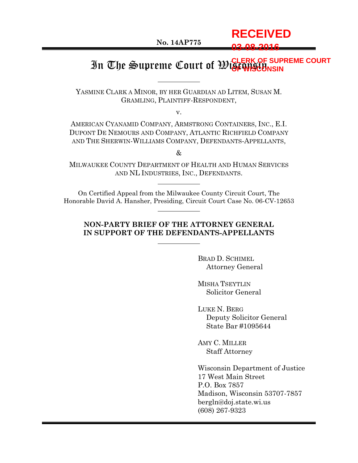# **RECEIVED 03-08-2016**

#### In The Supreme Court of Wisconsin **OF WISCONSIN***OF SUPREME COURT*

YASMINE CLARK A MINOR, BY HER GUARDIAN AD LITEM, SUSAN M. GRAMLING, PLAINTIFF-RESPONDENT,

v.

AMERICAN CYANAMID COMPANY, ARMSTRONG CONTAINERS, INC., E.I. DUPONT DE NEMOURS AND COMPANY, ATLANTIC RICHFIELD COMPANY AND THE SHERWIN-WILLIAMS COMPANY, DEFENDANTS-APPELLANTS,

 $\mathcal{R}_{\mathcal{F}}$ 

MILWAUKEE COUNTY DEPARTMENT OF HEALTH AND HUMAN SERVICES AND NL INDUSTRIES, INC., DEFENDANTS.

On Certified Appeal from the Milwaukee County Circuit Court, The Honorable David A. Hansher, Presiding, Circuit Court Case No. 06-CV-12653

#### **NON-PARTY BRIEF OF THE ATTORNEY GENERAL IN SUPPORT OF THE DEFENDANTS-APPELLANTS**

BRAD D. SCHIMEL Attorney General

MISHA TSEYTLIN Solicitor General

LUKE N. BERG Deputy Solicitor General State Bar #1095644

AMY C. MILLER Staff Attorney

Wisconsin Department of Justice 17 West Main Street P.O. Box 7857 Madison, Wisconsin 53707-7857 bergln@doj.state.wi.us (608) 267-9323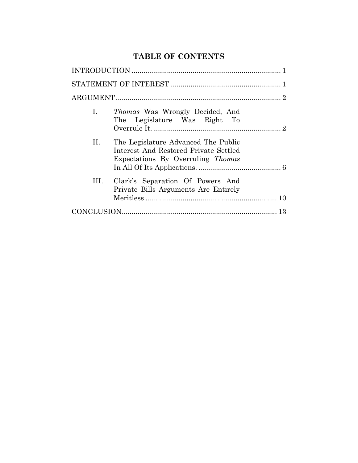# **TABLE OF CONTENTS**

| Ι.  | <i>Thomas</i> Was Wrongly Decided, And<br>The Legislature Was Right To                                            |
|-----|-------------------------------------------------------------------------------------------------------------------|
| П.  | The Legislature Advanced The Public<br>Interest And Restored Private Settled<br>Expectations By Overruling Thomas |
| HL. | Clark's Separation Of Powers And<br>Private Bills Arguments Are Entirely                                          |
|     |                                                                                                                   |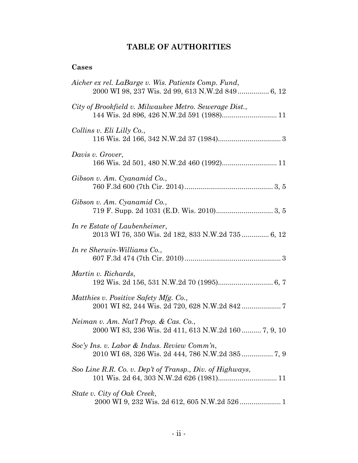# **TABLE OF AUTHORITIES**

# **Cases**

| Aicher ex rel. LaBarge v. Wis. Patients Comp. Fund,<br>2000 WI 98, 237 Wis. 2d 99, 613 N.W.2d 849 6, 12 |
|---------------------------------------------------------------------------------------------------------|
| City of Brookfield v. Milwaukee Metro. Sewerage Dist.,                                                  |
| Collins v. Eli Lilly Co.,                                                                               |
| Davis v. Grover,                                                                                        |
| Gibson v. Am. Cyanamid Co.,                                                                             |
| Gibson v. Am. Cyanamid Co.,                                                                             |
| In re Estate of Laubenheimer,<br>2013 WI 76, 350 Wis. 2d 182, 833 N.W.2d 735 6, 12                      |
| In re Sherwin-Williams Co.,                                                                             |
| Martin v. Richards,                                                                                     |
| Matthies v. Positive Safety Mfg. Co.,<br>2001 WI 82, 244 Wis. 2d 720, 628 N.W.2d 842  7                 |
| Neiman v. Am. Nat'l Prop. & Cas. Co.,<br>2000 WI 83, 236 Wis. 2d 411, 613 N.W.2d 160 7, 9, 10           |
| Soc'y Ins. v. Labor & Indus. Review Comm'n,                                                             |
| Soo Line R.R. Co. v. Dep't of Transp., Div. of Highways,                                                |
| State v. City of Oak Creek,                                                                             |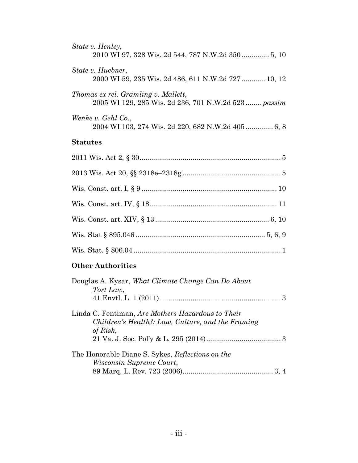| State v. Henley,                                                                          |
|-------------------------------------------------------------------------------------------|
| State v. Huebner,                                                                         |
| 2000 WI 59, 235 Wis. 2d 486, 611 N.W.2d 727 10, 12<br>Thomas ex rel. Gramling v. Mallett, |
| 2005 WI 129, 285 Wis. 2d 236, 701 N.W.2d 523 passim                                       |
| Wenke v. Gehl Co.,<br>2004 WI 103, 274 Wis. 2d 220, 682 N.W.2d 405 6, 8                   |
| <b>Statutes</b>                                                                           |
|                                                                                           |
|                                                                                           |

# Wis. Const. art. I, § 9 ..................................................................... 10 Wis. Const. art. IV, § 18................................................................. 11 Wis. Const. art. XIV, § 13 .......................................................... 6, 10

# Wis. Stat § 895.046 .................................................................. 5, 6, 9 Wis. Stat. § 806.04 ........................................................................... 1

# **Other Authorities**

| Douglas A. Kysar, What Climate Change Can Do About |
|----------------------------------------------------|
| Tort Law,                                          |
|                                                    |
| Linda C. Fentiman, Are Mothers Hazardous to Their  |
| Children's Health?: Law, Culture, and the Framing  |
| of Risk,                                           |
|                                                    |
| The Honorable Diane S. Sykes, Reflections on the   |
| <i>Wisconsin Supreme Court,</i>                    |
|                                                    |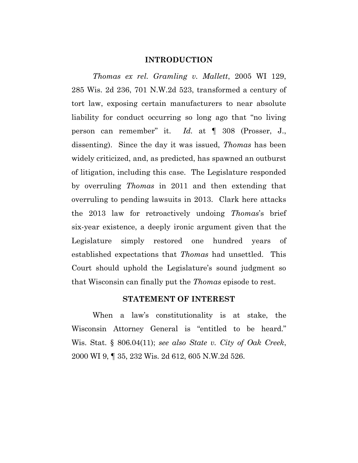#### **INTRODUCTION**

<span id="page-4-0"></span>*Thomas ex rel. Gramling v. Mallett*, 2005 WI 129, 285 Wis. 2d 236, 701 N.W.2d 523, transformed a century of tort law, exposing certain manufacturers to near absolute liability for conduct occurring so long ago that "no living person can remember" it. *Id.* at ¶ 308 (Prosser, J., dissenting). Since the day it was issued, *Thomas* has been widely criticized, and, as predicted, has spawned an outburst of litigation, including this case. The Legislature responded by overruling *Thomas* in 2011 and then extending that overruling to pending lawsuits in 2013. Clark here attacks the 2013 law for retroactively undoing *Thomas*'s brief six-year existence, a deeply ironic argument given that the Legislature simply restored one hundred years of established expectations that *Thomas* had unsettled. This Court should uphold the Legislature's sound judgment so that Wisconsin can finally put the *Thomas* episode to rest.

#### **STATEMENT OF INTEREST**

<span id="page-4-1"></span>When a law's constitutionality is at stake, the Wisconsin Attorney General is "entitled to be heard." Wis. Stat. § 806.04(11); *see also State v. City of Oak Creek*, 2000 WI 9, ¶ 35, 232 Wis. 2d 612, 605 N.W.2d 526.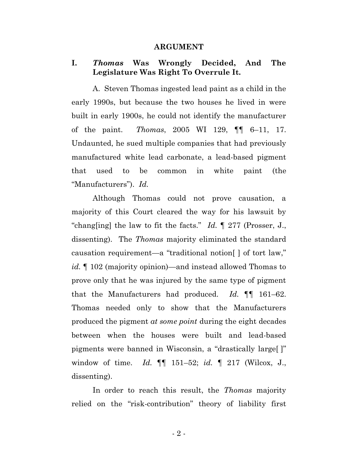#### **ARGUMENT**

#### <span id="page-5-1"></span><span id="page-5-0"></span>**I.** *Thomas* **Was Wrongly Decided, And The Legislature Was Right To Overrule It.**

A. Steven Thomas ingested lead paint as a child in the early 1990s, but because the two houses he lived in were built in early 1900s, he could not identify the manufacturer of the paint. *Thomas*, 2005 WI 129, ¶¶ 6–11, 17. Undaunted, he sued multiple companies that had previously manufactured white lead carbonate, a lead-based pigment that used to be common in white paint (the "Manufacturers"). *Id.*

Although Thomas could not prove causation, a majority of this Court cleared the way for his lawsuit by "chang[ing] the law to fit the facts." *Id.* ¶ 277 (Prosser, J., dissenting). The *Thomas* majority eliminated the standard causation requirement—a "traditional notion[ ] of tort law," *id.* ¶ 102 (majority opinion)—and instead allowed Thomas to prove only that he was injured by the same type of pigment that the Manufacturers had produced. *Id.* ¶¶ 161–62. Thomas needed only to show that the Manufacturers produced the pigment *at some point* during the eight decades between when the houses were built and lead-based pigments were banned in Wisconsin, a "drastically large[ ]" window of time. *Id.* ¶¶ 151–52; *id.* ¶ 217 (Wilcox, J., dissenting).

In order to reach this result, the *Thomas* majority relied on the "risk-contribution" theory of liability first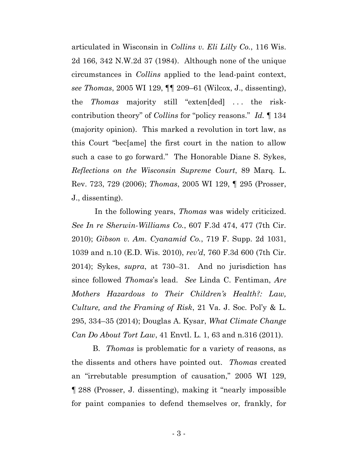articulated in Wisconsin in *Collins v. Eli Lilly Co.*, 116 Wis. 2d 166, 342 N.W.2d 37 (1984). Although none of the unique circumstances in *Collins* applied to the lead-paint context, *see Thomas*, 2005 WI 129, ¶¶ 209–61 (Wilcox, J., dissenting), the *Thomas* majority still "exten[ded] . . . the riskcontribution theory" of *Collins* for "policy reasons." *Id.* ¶ 134 (majority opinion). This marked a revolution in tort law, as this Court "bec[ame] the first court in the nation to allow such a case to go forward." The Honorable Diane S. Sykes, *Reflections on the Wisconsin Supreme Court*, 89 Marq. L. Rev. 723, 729 (2006); *Thomas*, 2005 WI 129, ¶ 295 (Prosser, J., dissenting).

In the following years, *Thomas* was widely criticized. *See In re Sherwin-Williams Co.*, 607 F.3d 474, 477 (7th Cir. 2010); *Gibson v. Am. Cyanamid Co.*, 719 F. Supp. 2d 1031, 1039 and n.10 (E.D. Wis. 2010), *rev'd*, 760 F.3d 600 (7th Cir. 2014); Sykes, *supra*, at 730–31. And no jurisdiction has since followed *Thomas*'s lead. *See* Linda C. Fentiman, *Are Mothers Hazardous to Their Children's Health?: Law, Culture, and the Framing of Risk*, 21 Va. J. Soc. Pol'y & L. 295, 334–35 (2014); Douglas A. Kysar, *What Climate Change Can Do About Tort Law*, 41 Envtl. L. 1, 63 and n.316 (2011).

B. *Thomas* is problematic for a variety of reasons, as the dissents and others have pointed out. *Thomas* created an "irrebutable presumption of causation," 2005 WI 129, ¶ 288 (Prosser, J. dissenting), making it "nearly impossible for paint companies to defend themselves or, frankly, for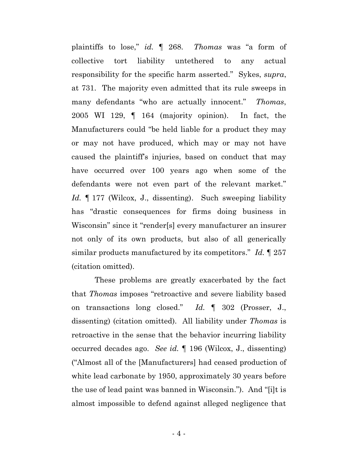plaintiffs to lose," *id.* ¶ 268. *Thomas* was "a form of collective tort liability untethered to any actual responsibility for the specific harm asserted." Sykes, *supra*, at 731. The majority even admitted that its rule sweeps in many defendants "who are actually innocent." *Thomas*, 2005 WI 129, ¶ 164 (majority opinion). In fact, the Manufacturers could "be held liable for a product they may or may not have produced, which may or may not have caused the plaintiff's injuries, based on conduct that may have occurred over 100 years ago when some of the defendants were not even part of the relevant market." *Id.* ¶ 177 (Wilcox, J., dissenting). Such sweeping liability has "drastic consequences for firms doing business in Wisconsin" since it "render[s] every manufacturer an insurer not only of its own products, but also of all generically similar products manufactured by its competitors." *Id.* ¶ 257 (citation omitted).

These problems are greatly exacerbated by the fact that *Thomas* imposes "retroactive and severe liability based on transactions long closed." *Id.* ¶ 302 (Prosser, J., dissenting) (citation omitted). All liability under *Thomas* is retroactive in the sense that the behavior incurring liability occurred decades ago. *See id.* ¶ 196 (Wilcox, J., dissenting) ("Almost all of the [Manufacturers] had ceased production of white lead carbonate by 1950, approximately 30 years before the use of lead paint was banned in Wisconsin."). And "[i]t is almost impossible to defend against alleged negligence that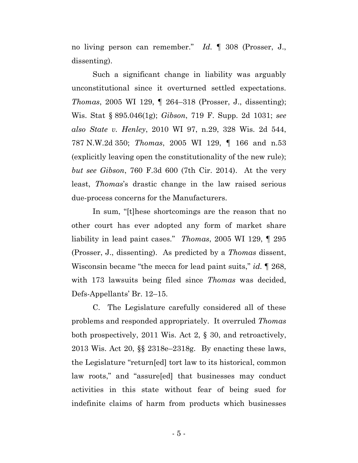no living person can remember." *Id.* ¶ 308 (Prosser, J., dissenting).

Such a significant change in liability was arguably unconstitutional since it overturned settled expectations. *Thomas*, 2005 WI 129, ¶ 264–318 (Prosser, J., dissenting); Wis. Stat § 895.046(1g); *Gibson*, 719 F. Supp. 2d 1031; *see also State v. Henley*, 2010 WI 97, n.29, 328 Wis. 2d 544, 787 N.W.2d 350; *Thomas*, 2005 WI 129, ¶ 166 and n.53 (explicitly leaving open the constitutionality of the new rule); *but see Gibson*, 760 F.3d 600 (7th Cir. 2014). At the very least, *Thomas*'s drastic change in the law raised serious due-process concerns for the Manufacturers.

In sum, "[t]hese shortcomings are the reason that no other court has ever adopted any form of market share liability in lead paint cases." *Thomas*, 2005 WI 129, ¶ 295 (Prosser, J., dissenting). As predicted by a *Thomas* dissent, Wisconsin became "the mecca for lead paint suits," *id.* ¶ 268, with 173 lawsuits being filed since *Thomas* was decided, Defs-Appellants' Br. 12–15.

C. The Legislature carefully considered all of these problems and responded appropriately. It overruled *Thomas*  both prospectively, 2011 Wis. Act 2, § 30, and retroactively, 2013 Wis. Act 20, §§ 2318e–2318g. By enacting these laws, the Legislature "return[ed] tort law to its historical, common law roots," and "assure[ed] that businesses may conduct activities in this state without fear of being sued for indefinite claims of harm from products which businesses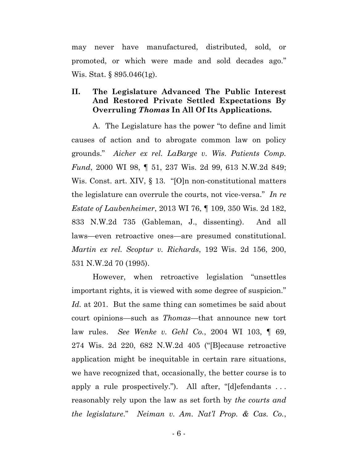may never have manufactured, distributed, sold, or promoted, or which were made and sold decades ago*.*" Wis. Stat. § 895.046(1g).

## <span id="page-9-0"></span>**II. The Legislature Advanced The Public Interest And Restored Private Settled Expectations By Overruling** *Thomas* **In All Of Its Applications.**

A. The Legislature has the power "to define and limit causes of action and to abrogate common law on policy grounds." *Aicher ex rel. LaBarge v. Wis. Patients Comp. Fund*, 2000 WI 98, ¶ 51, 237 Wis. 2d 99, 613 N.W.2d 849; Wis. Const. art. XIV, § 13. "[O]n non-constitutional matters the legislature can overrule the courts, not vice-versa." *In re Estate of Laubenheimer*, 2013 WI 76, ¶ 109, 350 Wis. 2d 182, 833 N.W.2d 735 (Gableman, J., dissenting). And all laws—even retroactive ones—are presumed constitutional. *Martin ex rel. Scoptur v. Richards*, 192 Wis. 2d 156, 200, 531 N.W.2d 70 (1995).

However, when retroactive legislation "unsettles important rights, it is viewed with some degree of suspicion." *Id.* at 201. But the same thing can sometimes be said about court opinions—such as *Thomas*—that announce new tort law rules. *See Wenke v. Gehl Co.*, 2004 WI 103, ¶ 69, 274 Wis. 2d 220, 682 N.W.2d 405 ("[B]ecause retroactive application might be inequitable in certain rare situations, we have recognized that, occasionally, the better course is to apply a rule prospectively."). All after, "[d]efendants . . . reasonably rely upon the law as set forth by *the courts and the legislature*." *Neiman v. Am. Nat'l Prop. & Cas. Co.*,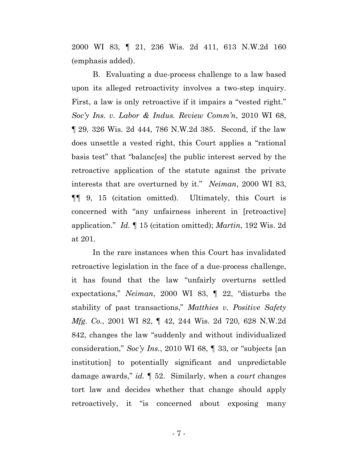2000 WI 83, ¶ 21, 236 Wis. 2d 411, 613 N.W.2d 160 (emphasis added).

B. Evaluating a due-process challenge to a law based upon its alleged retroactivity involves a two-step inquiry. First, a law is only retroactive if it impairs a "vested right." *Soc'y Ins. v. Labor & Indus. Review Comm'n*, 2010 WI 68, ¶ 29, 326 Wis. 2d 444, 786 N.W.2d 385. Second, if the law does unsettle a vested right, this Court applies a "rational basis test" that "balanc[es] the public interest served by the retroactive application of the statute against the private interests that are overturned by it." *Neiman*, 2000 WI 83, ¶¶ 9, 15 (citation omitted). Ultimately, this Court is concerned with "any unfairness inherent in [retroactive] application." *Id.* ¶ 15 (citation omitted); *Martin*, 192 Wis. 2d at 201.

In the rare instances when this Court has invalidated retroactive legislation in the face of a due-process challenge, it has found that the law "unfairly overturns settled expectations," *Neiman*, 2000 WI 83, ¶ 22, "disturbs the stability of past transactions," *Matthies v. Positive Safety Mfg. Co.*, 2001 WI 82, ¶ 42, 244 Wis. 2d 720, 628 N.W.2d 842, changes the law "suddenly and without individualized consideration," *Soc'y Ins.*, 2010 WI 68, ¶ 33, or "subjects [an institution] to potentially significant and unpredictable damage awards," *id.* ¶ 52. Similarly, when a *court* changes tort law and decides whether that change should apply retroactively, it "is concerned about exposing many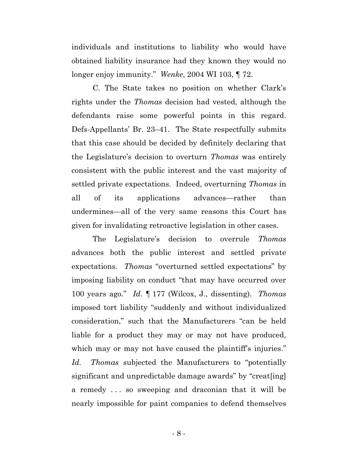individuals and institutions to liability who would have obtained liability insurance had they known they would no longer enjoy immunity." *Wenke*, 2004 WI 103, ¶ 72.

C. The State takes no position on whether Clark's rights under the *Thomas* decision had vested, although the defendants raise some powerful points in this regard. Defs-Appellants' Br. 23–41. The State respectfully submits that this case should be decided by definitely declaring that the Legislature's decision to overturn *Thomas* was entirely consistent with the public interest and the vast majority of settled private expectations. Indeed, overturning *Thomas* in all of its applications advances—rather than undermines—all of the very same reasons this Court has given for invalidating retroactive legislation in other cases.

The Legislature's decision to overrule *Thomas* advances both the public interest and settled private expectations. *Thomas* "overturned settled expectations" by imposing liability on conduct "that may have occurred over 100 years ago." *Id*. ¶ 177 (Wilcox, J., dissenting). *Thomas*  imposed tort liability "suddenly and without individualized consideration," such that the Manufacturers "can be held liable for a product they may or may not have produced, which may or may not have caused the plaintiff's injuries." *Id. Thomas* subjected the Manufacturers to "potentially significant and unpredictable damage awards" by "creat[ing] a remedy . . . so sweeping and draconian that it will be nearly impossible for paint companies to defend themselves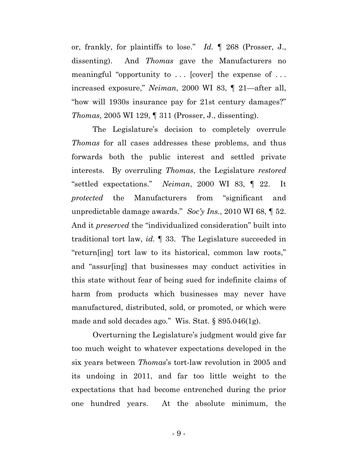or, frankly, for plaintiffs to lose." *Id.* ¶ 268 (Prosser, J., dissenting). And *Thomas* gave the Manufacturers no meaningful "opportunity to ... [cover] the expense of ... increased exposure," *Neiman*, 2000 WI 83, ¶ 21—after all, "how will 1930s insurance pay for 21st century damages?" *Thomas*, 2005 WI 129, ¶ 311 (Prosser, J., dissenting).

The Legislature's decision to completely overrule *Thomas* for all cases addresses these problems, and thus forwards both the public interest and settled private interests. By overruling *Thomas*, the Legislature *restored* "settled expectations." *Neiman*, 2000 WI 83, ¶ 22. It *protected* the Manufacturers from "significant and unpredictable damage awards." *Soc'y Ins.*, 2010 WI 68, ¶ 52. And it *preserved* the "individualized consideration" built into traditional tort law, *id.* ¶ 33. The Legislature succeeded in "return[ing] tort law to its historical, common law roots," and "assur[ing] that businesses may conduct activities in this state without fear of being sued for indefinite claims of harm from products which businesses may never have manufactured, distributed, sold, or promoted, or which were made and sold decades ago*.*" Wis. Stat. § 895.046(1g).

Overturning the Legislature's judgment would give far too much weight to whatever expectations developed in the six years between *Thomas*'s tort-law revolution in 2005 and its undoing in 2011, and far too little weight to the expectations that had become entrenched during the prior one hundred years. At the absolute minimum, the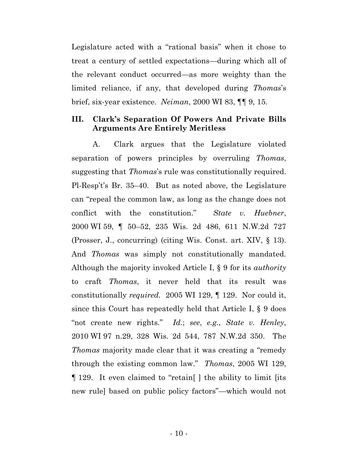Legislature acted with a "rational basis" when it chose to treat a century of settled expectations—during which all of the relevant conduct occurred—as more weighty than the limited reliance, if any, that developed during *Thomas*'s brief, six-year existence. *Neiman*, 2000 WI 83, ¶¶ 9, 15.

# <span id="page-13-0"></span>**III. Clark's Separation Of Powers And Private Bills Arguments Are Entirely Meritless**

A. Clark argues that the Legislature violated separation of powers principles by overruling *Thomas*, suggesting that *Thomas*'s rule was constitutionally required. Pl-Resp't's Br. 35–40. But as noted above, the Legislature can "repeal the common law, as long as the change does not conflict with the constitution." *State v. Huebner*, 2000 WI 59, ¶ 50–52, 235 Wis. 2d 486, 611 N.W.2d 727 (Prosser, J., concurring) (citing Wis. Const. art. XIV, § 13). And *Thomas* was simply not constitutionally mandated. Although the majority invoked Article I, § 9 for its *authority* to craft *Thomas*, it never held that its result was constitutionally *required.* 2005 WI 129, ¶ 129. Nor could it, since this Court has repeatedly held that Article I, § 9 does "not create new rights." *Id.*; *see*, *e.g.*, *State v. Henley*, 2010 WI 97 n.29, 328 Wis. 2d 544, 787 N.W.2d 350. The *Thomas* majority made clear that it was creating a "remedy through the existing common law." *Thomas*, 2005 WI 129, ¶ 129. It even claimed to "retain[ ] the ability to limit [its new rule] based on public policy factors"—which would not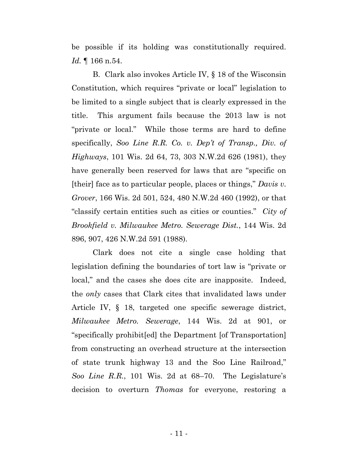be possible if its holding was constitutionally required. *Id.* ¶ 166 n.54.

B. Clark also invokes Article IV, § 18 of the Wisconsin Constitution, which requires "private or local" legislation to be limited to a single subject that is clearly expressed in the title. This argument fails because the 2013 law is not "private or local." While those terms are hard to define specifically, *Soo Line R.R. Co. v. Dep't of Transp., Div. of Highways*, 101 Wis. 2d 64, 73, 303 N.W.2d 626 (1981), they have generally been reserved for laws that are "specific on [their] face as to particular people, places or things," *Davis v. Grover*, 166 Wis. 2d 501, 524, 480 N.W.2d 460 (1992), or that "classify certain entities such as cities or counties." *City of Brookfield v. Milwaukee Metro. Sewerage Dist.*, 144 Wis. 2d 896, 907, 426 N.W.2d 591 (1988).

Clark does not cite a single case holding that legislation defining the boundaries of tort law is "private or local," and the cases she does cite are inapposite. Indeed, the *only* cases that Clark cites that invalidated laws under Article IV, § 18, targeted one specific sewerage district, *Milwaukee Metro. Sewerage*, 144 Wis. 2d at 901, or "specifically prohibit[ed] the Department [of Transportation] from constructing an overhead structure at the intersection of state trunk highway 13 and the Soo Line Railroad," *Soo Line R.R.*, 101 Wis. 2d at 68–70. The Legislature's decision to overturn *Thomas* for everyone, restoring a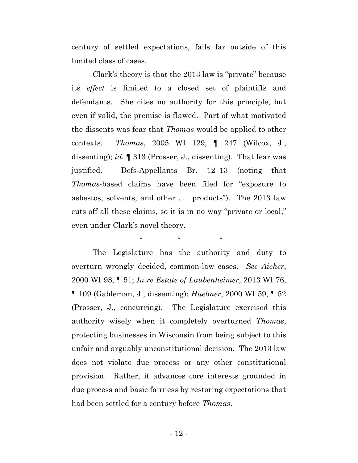century of settled expectations, falls far outside of this limited class of cases.

Clark's theory is that the 2013 law is "private" because its *effect* is limited to a closed set of plaintiffs and defendants. She cites no authority for this principle, but even if valid, the premise is flawed. Part of what motivated the dissents was fear that *Thomas* would be applied to other contexts. *Thomas*, 2005 WI 129, ¶ 247 (Wilcox, J., dissenting); *id.* ¶ 313 (Prosser, J., dissenting). That fear was justified. Defs-Appellants Br. 12–13 (noting that *Thomas*-based claims have been filed for "exposure to asbestos, solvents, and other . . . products"). The 2013 law cuts off all these claims, so it is in no way "private or local," even under Clark's novel theory.

\* \* \*

The Legislature has the authority and duty to overturn wrongly decided, common-law cases. *See Aicher*, 2000 WI 98, ¶ 51; *In re Estate of Laubenheimer*, 2013 WI 76, ¶ 109 (Gableman, J., dissenting); *Huebner*, 2000 WI 59, ¶ 52 (Prosser, J., concurring). The Legislature exercised this authority wisely when it completely overturned *Thomas*, protecting businesses in Wisconsin from being subject to this unfair and arguably unconstitutional decision. The 2013 law does not violate due process or any other constitutional provision. Rather, it advances core interests grounded in due process and basic fairness by restoring expectations that had been settled for a century before *Thomas*.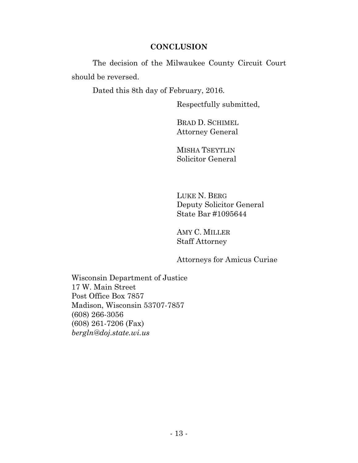## **CONCLUSION**

<span id="page-16-0"></span>The decision of the Milwaukee County Circuit Court should be reversed.

Dated this 8th day of February, 2016.

Respectfully submitted,

BRAD D. SCHIMEL Attorney General

MISHA TSEYTLIN Solicitor General

LUKE N. BERG Deputy Solicitor General State Bar #1095644

AMY C. MILLER Staff Attorney

Attorneys for Amicus Curiae

Wisconsin Department of Justice 17 W. Main Street Post Office Box 7857 Madison, Wisconsin 53707-7857 (608) 266-3056 (608) 261-7206 (Fax) *bergln@doj.state.wi.us*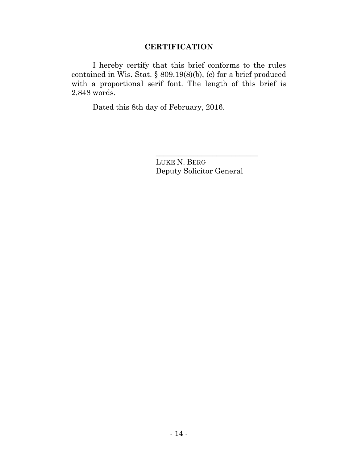# **CERTIFICATION**

I hereby certify that this brief conforms to the rules contained in Wis. Stat. § 809.19(8)(b), (c) for a brief produced with a proportional serif font. The length of this brief is 2,848 words.

Dated this 8th day of February, 2016.

LUKE N. BERG Deputy Solicitor General

\_\_\_\_\_\_\_\_\_\_\_\_\_\_\_\_\_\_\_\_\_\_\_\_\_\_\_